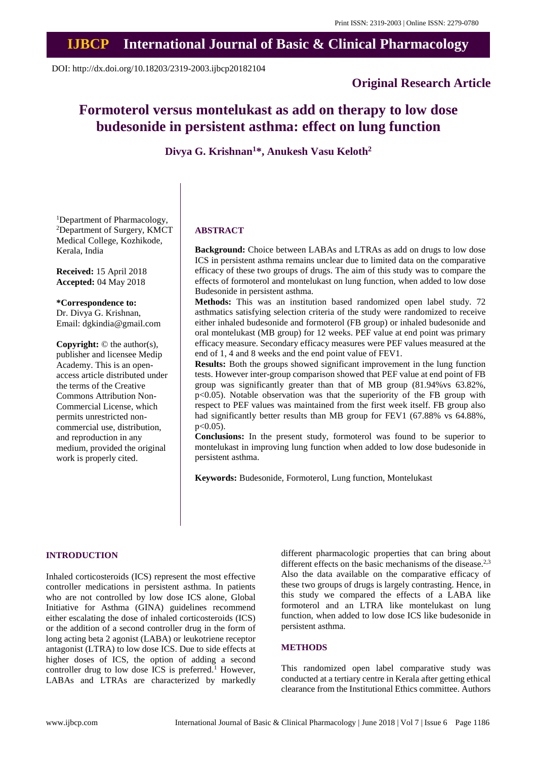## **IJBCP International Journal of Basic & Clinical Pharmacology**

DOI: http://dx.doi.org/10.18203/2319-2003.ijbcp20182104

## **Original Research Article**

# **Formoterol versus montelukast as add on therapy to low dose budesonide in persistent asthma: effect on lung function**

**Divya G. Krishnan<sup>1</sup>\*, Anukesh Vasu Keloth<sup>2</sup>**

<sup>1</sup>Department of Pharmacology, <sup>2</sup>Department of Surgery, KMCT Medical College, Kozhikode, Kerala, India

**Received:** 15 April 2018 **Accepted:** 04 May 2018

**\*Correspondence to:** Dr. Divya G. Krishnan,

Email: dgkindia@gmail.com

**Copyright:** © the author(s), publisher and licensee Medip Academy. This is an openaccess article distributed under the terms of the Creative Commons Attribution Non-Commercial License, which permits unrestricted noncommercial use, distribution, and reproduction in any medium, provided the original work is properly cited.

#### **ABSTRACT**

**Background:** Choice between LABAs and LTRAs as add on drugs to low dose ICS in persistent asthma remains unclear due to limited data on the comparative efficacy of these two groups of drugs. The aim of this study was to compare the effects of formoterol and montelukast on lung function, when added to low dose Budesonide in persistent asthma.

**Methods:** This was an institution based randomized open label study. 72 asthmatics satisfying selection criteria of the study were randomized to receive either inhaled budesonide and formoterol (FB group) or inhaled budesonide and oral montelukast (MB group) for 12 weeks. PEF value at end point was primary efficacy measure. Secondary efficacy measures were PEF values measured at the end of 1, 4 and 8 weeks and the end point value of FEV1.

**Results:** Both the groups showed significant improvement in the lung function tests. However inter-group comparison showed that PEF value at end point of FB group was significantly greater than that of MB group (81.94%vs 63.82%, p<0.05). Notable observation was that the superiority of the FB group with respect to PEF values was maintained from the first week itself. FB group also had significantly better results than MB group for FEV1 (67.88% vs 64.88%,  $p<0.05$ ).

**Conclusions:** In the present study, formoterol was found to be superior to montelukast in improving lung function when added to low dose budesonide in persistent asthma.

**Keywords:** Budesonide, Formoterol, Lung function, Montelukast

#### **INTRODUCTION**

Inhaled corticosteroids (ICS) represent the most effective controller medications in persistent asthma. In patients who are not controlled by low dose ICS alone, Global Initiative for Asthma (GINA) guidelines recommend either escalating the dose of inhaled corticosteroids (ICS) or the addition of a second controller drug in the form of long acting beta 2 agonist (LABA) or leukotriene receptor antagonist (LTRA) to low dose ICS. Due to side effects at higher doses of ICS, the option of adding a second controller drug to low dose ICS is preferred.<sup>1</sup> However, LABAs and LTRAs are characterized by markedly different pharmacologic properties that can bring about different effects on the basic mechanisms of the disease. $2,3$ Also the data available on the comparative efficacy of these two groups of drugs is largely contrasting. Hence, in this study we compared the effects of a LABA like formoterol and an LTRA like montelukast on lung function, when added to low dose ICS like budesonide in persistent asthma.

#### **METHODS**

This randomized open label comparative study was conducted at a tertiary centre in Kerala after getting ethical clearance from the Institutional Ethics committee. Authors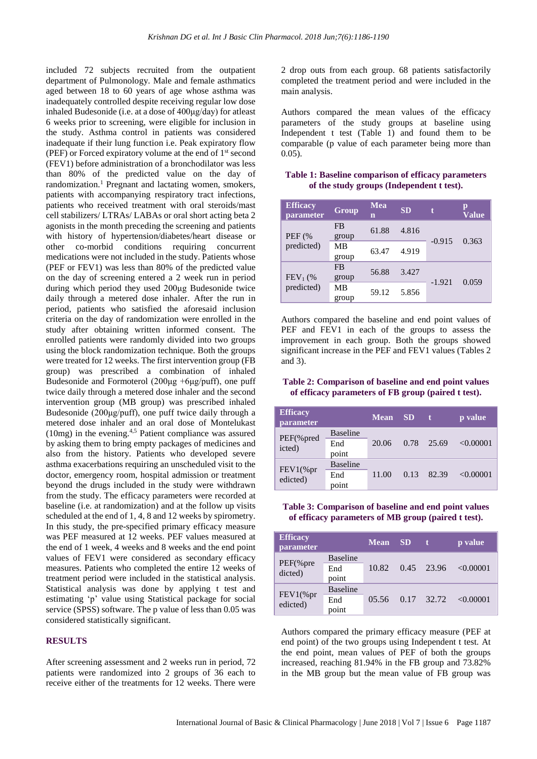included 72 subjects recruited from the outpatient department of Pulmonology. Male and female asthmatics aged between 18 to 60 years of age whose asthma was inadequately controlled despite receiving regular low dose inhaled Budesonide (i.e. at a dose of 400μg/day) for atleast 6 weeks prior to screening, were eligible for inclusion in the study. Asthma control in patients was considered inadequate if their lung function i.e. Peak expiratory flow (PEF) or Forced expiratory volume at the end of 1<sup>st</sup> second (FEV1) before administration of a bronchodilator was less than 80% of the predicted value on the day of randomization.<sup>1</sup> Pregnant and lactating women, smokers, patients with accompanying respiratory tract infections, patients who received treatment with oral steroids/mast cell stabilizers/ LTRAs/ LABAs or oral short acting beta 2 agonists in the month preceding the screening and patients with history of hypertension/diabetes/heart disease or other co-morbid conditions requiring concurrent medications were not included in the study. Patients whose (PEF or FEV1) was less than 80% of the predicted value on the day of screening entered a 2 week run in period during which period they used 200μg Budesonide twice daily through a metered dose inhaler. After the run in period, patients who satisfied the aforesaid inclusion criteria on the day of randomization were enrolled in the study after obtaining written informed consent. The enrolled patients were randomly divided into two groups using the block randomization technique. Both the groups were treated for 12 weeks. The first intervention group (FB group) was prescribed a combination of inhaled Budesonide and Formoterol  $(200\mu g + 6\mu g/\mu df)$ , one puff twice daily through a metered dose inhaler and the second intervention group (MB group) was prescribed inhaled Budesonide (200μg/puff), one puff twice daily through a metered dose inhaler and an oral dose of Montelukast  $(10mg)$  in the evening.<sup>4,5</sup> Patient compliance was assured by asking them to bring empty packages of medicines and also from the history. Patients who developed severe asthma exacerbations requiring an unscheduled visit to the doctor, emergency room, hospital admission or treatment beyond the drugs included in the study were withdrawn from the study. The efficacy parameters were recorded at baseline (i.e. at randomization) and at the follow up visits scheduled at the end of 1, 4, 8 and 12 weeks by spirometry. In this study, the pre-specified primary efficacy measure was PEF measured at 12 weeks. PEF values measured at the end of 1 week, 4 weeks and 8 weeks and the end point values of FEV1 were considered as secondary efficacy measures. Patients who completed the entire 12 weeks of treatment period were included in the statistical analysis. Statistical analysis was done by applying t test and estimating 'p' value using Statistical package for social service (SPSS) software. The p value of less than 0.05 was considered statistically significant.

### **RESULTS**

After screening assessment and 2 weeks run in period, 72 patients were randomized into 2 groups of 36 each to receive either of the treatments for 12 weeks. There were 2 drop outs from each group. 68 patients satisfactorily completed the treatment period and were included in the main analysis.

Authors compared the mean values of the efficacy parameters of the study groups at baseline using Independent t test (Table 1) and found them to be comparable (p value of each parameter being more than 0.05).

#### **Table 1: Baseline comparison of efficacy parameters of the study groups (Independent t test).**

| <b>Efficacy</b><br><i>parameter</i> | <b>Group</b>       | Mea<br>n | <b>SD</b> | t        | p<br>Value |
|-------------------------------------|--------------------|----------|-----------|----------|------------|
| <b>PEF</b> (%<br>predicted)         | <b>FB</b><br>group | 61.88    | 4.816     | $-0.915$ | 0.363      |
|                                     | МB<br>group        | 63.47    | 4.919     |          |            |
| FEV <sub>1</sub> (%<br>predicted)   | <b>FB</b><br>group | 56.88    | 3.427     |          | 0.059      |
|                                     | MB<br>group        | 59.12    | 5.856     | $-1.921$ |            |

Authors compared the baseline and end point values of PEF and FEV1 in each of the groups to assess the improvement in each group. Both the groups showed significant increase in the PEF and FEV1 values (Tables 2 and 3).

#### **Table 2: Comparison of baseline and end point values of efficacy parameters of FB group (paired t test).**

| <b>Efficacy</b><br>parameter |                                 | <b>Mean</b> | - SD |       | p value   |
|------------------------------|---------------------------------|-------------|------|-------|-----------|
| $PEF$ (% pred<br>icted)      | <b>Baseline</b><br>End<br>point | 20.06       | 0.78 | 25.69 | < 0.00001 |
| $FEV1$ (%pr<br>edicted)      | <b>Baseline</b><br>End<br>point | 11.00       | 0.13 | 82.39 | < 0.00001 |

#### **Table 3: Comparison of baseline and end point values of efficacy parameters of MB group (paired t test).**

| <b>Efficacy</b><br>parameter |                 | Mean SD |      |         | p value        |
|------------------------------|-----------------|---------|------|---------|----------------|
| $PEF$ (% pre<br>dicted)      | <b>Baseline</b> | 10.82   | 0.45 | - 23.96 | $\leq 0.00001$ |
|                              | End             |         |      |         |                |
|                              | point           |         |      |         |                |
| $FEV1$ (%pr<br>edicted)      | <b>Baseline</b> |         |      |         |                |
|                              | End             | 05.56   | 0.17 | 32.72   | < 0.00001      |
|                              | point           |         |      |         |                |

Authors compared the primary efficacy measure (PEF at end point) of the two groups using Independent t test. At the end point, mean values of PEF of both the groups increased, reaching 81.94% in the FB group and 73.82% in the MB group but the mean value of FB group was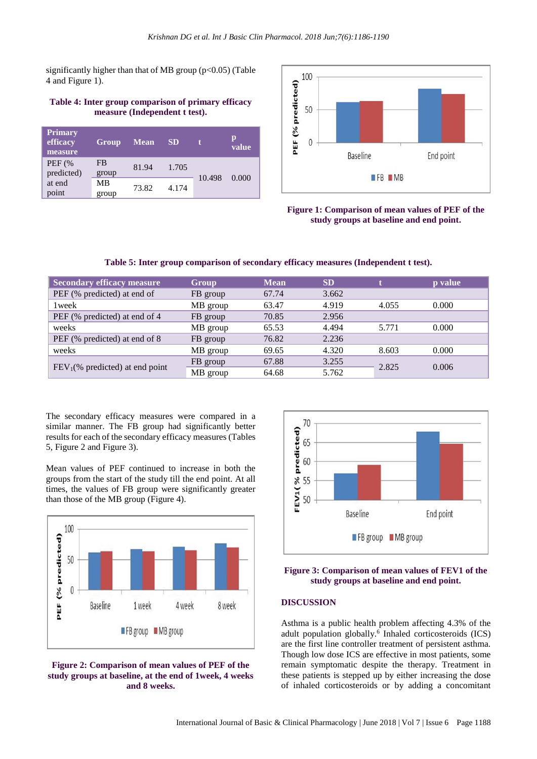significantly higher than that of MB group  $(p<0.05)$  (Table 4 and Figure 1).

#### **Table 4: Inter group comparison of primary efficacy measure (Independent t test).**

| Primary<br>efficacy<br>measure | <b>Group</b> | <b>Mean</b> | <b>SD</b> |        | p<br>value |
|--------------------------------|--------------|-------------|-----------|--------|------------|
| <b>PEF</b> (%)<br>predicted)   | FB<br>group  | 81.94       | 1.705     | 10.498 | 0.000      |
| at end<br>point                | МB<br>group  | 73.82       | 4.174     |        |            |



**Figure 1: Comparison of mean values of PEF of the study groups at baseline and end point.**

#### **Table 5: Inter group comparison of secondary efficacy measures (Independent t test).**

| <b>Secondary efficacy measure</b> | Group    | <b>Mean</b> | <b>SD</b> |       | p value |
|-----------------------------------|----------|-------------|-----------|-------|---------|
| PEF (% predicted) at end of       | FB group | 67.74       | 3.662     |       |         |
| 1 week                            | MB group | 63.47       | 4.919     | 4.055 | 0.000   |
| PEF (% predicted) at end of 4     | FB group | 70.85       | 2.956     |       |         |
| weeks                             | MB group | 65.53       | 4.494     | 5.771 | 0.000   |
| PEF (% predicted) at end of 8     | FB group | 76.82       | 2.236     |       |         |
| weeks                             | MB group | 69.65       | 4.320     | 8.603 | 0.000   |
|                                   | FB group | 67.88       | 3.255     |       |         |
| $FEV1(% predicted)$ at end point  | MB group | 64.68       | 5.762     | 2.825 | 0.006   |

The secondary efficacy measures were compared in a similar manner. The FB group had significantly better results for each of the secondary efficacy measures (Tables 5, Figure 2 and Figure 3).

Mean values of PEF continued to increase in both the groups from the start of the study till the end point. At all times, the values of FB group were significantly greater than those of the MB group (Figure 4).



#### **Figure 2: Comparison of mean values of PEF of the study groups at baseline, at the end of 1week, 4 weeks and 8 weeks.**



#### **Figure 3: Comparison of mean values of FEV1 of the study groups at baseline and end point.**

#### **DISCUSSION**

Asthma is a public health problem affecting 4.3% of the adult population globally.<sup>6</sup> Inhaled corticosteroids (ICS) are the first line controller treatment of persistent asthma. Though low dose ICS are effective in most patients, some remain symptomatic despite the therapy. Treatment in these patients is stepped up by either increasing the dose of inhaled corticosteroids or by adding a concomitant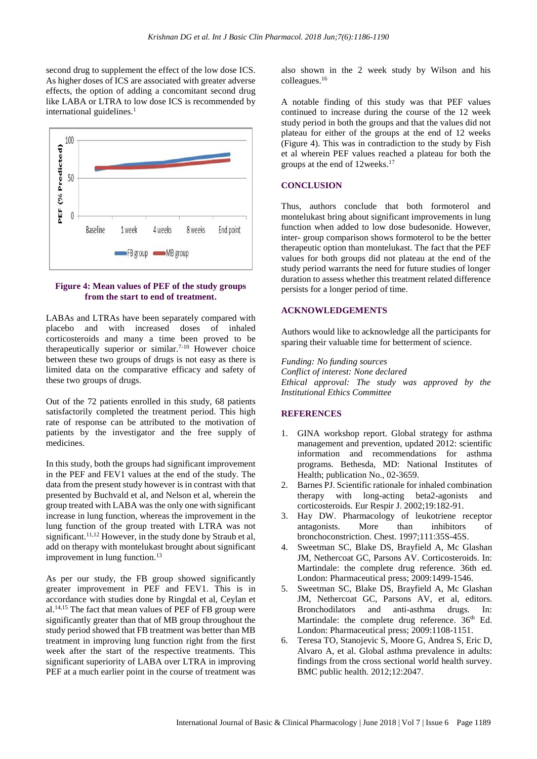second drug to supplement the effect of the low dose ICS. As higher doses of ICS are associated with greater adverse effects, the option of adding a concomitant second drug like LABA or LTRA to low dose ICS is recommended by international guidelines.<sup>1</sup>



#### **Figure 4: Mean values of PEF of the study groups from the start to end of treatment.**

LABAs and LTRAs have been separately compared with placebo and with increased doses of inhaled corticosteroids and many a time been proved to be therapeutically superior or similar.<sup>7-10</sup> However choice between these two groups of drugs is not easy as there is limited data on the comparative efficacy and safety of these two groups of drugs.

Out of the 72 patients enrolled in this study, 68 patients satisfactorily completed the treatment period. This high rate of response can be attributed to the motivation of patients by the investigator and the free supply of medicines.

In this study, both the groups had significant improvement in the PEF and FEV1 values at the end of the study. The data from the present study however is in contrast with that presented by Buchvald et al, and Nelson et al, wherein the group treated with LABA was the only one with significant increase in lung function, whereas the improvement in the lung function of the group treated with LTRA was not significant.<sup>11,12</sup> However, in the study done by Straub et al, add on therapy with montelukast brought about significant improvement in lung function.<sup>13</sup>

As per our study, the FB group showed significantly greater improvement in PEF and FEV1. This is in accordance with studies done by Ringdal et al, Ceylan et al.14,15 The fact that mean values of PEF of FB group were significantly greater than that of MB group throughout the study period showed that FB treatment was better than MB treatment in improving lung function right from the first week after the start of the respective treatments. This significant superiority of LABA over LTRA in improving PEF at a much earlier point in the course of treatment was also shown in the 2 week study by Wilson and his colleagues.<sup>16</sup>

A notable finding of this study was that PEF values continued to increase during the course of the 12 week study period in both the groups and that the values did not plateau for either of the groups at the end of 12 weeks (Figure 4). This was in contradiction to the study by Fish et al wherein PEF values reached a plateau for both the groups at the end of 12weeks.<sup>17</sup>

#### **CONCLUSION**

Thus, authors conclude that both formoterol and montelukast bring about significant improvements in lung function when added to low dose budesonide. However, inter- group comparison shows formoterol to be the better therapeutic option than montelukast. The fact that the PEF values for both groups did not plateau at the end of the study period warrants the need for future studies of longer duration to assess whether this treatment related difference persists for a longer period of time.

#### **ACKNOWLEDGEMENTS**

Authors would like to acknowledge all the participants for sparing their valuable time for betterment of science.

*Funding: No funding sources Conflict of interest: None declared Ethical approval: The study was approved by the Institutional Ethics Committee*

#### **REFERENCES**

- 1. GINA workshop report. Global strategy for asthma management and prevention, updated 2012: scientific information and recommendations for asthma programs. Bethesda, MD: National Institutes of Health; publication No., 02-3659.
- 2. Barnes PJ. Scientific rationale for inhaled combination therapy with long-acting beta2-agonists and corticosteroids. Eur Respir J. 2002;19:182-91.
- 3. Hay DW. Pharmacology of leukotriene receptor antagonists. More than inhibitors of bronchoconstriction. Chest. 1997;111:35S-45S.
- 4. Sweetman SC, Blake DS, Brayfield A, Mc Glashan JM, Nethercoat GC, Parsons AV. Corticosteroids. In: Martindale: the complete drug reference. 36th ed. London: Pharmaceutical press; 2009:1499-1546.
- 5. Sweetman SC, Blake DS, Brayfield A, Mc Glashan JM, Nethercoat GC, Parsons AV, et al, editors. Bronchodilators and anti-asthma drugs. In: Martindale: the complete drug reference. 36<sup>th</sup> Ed. London: Pharmaceutical press; 2009:1108-1151.
- 6. Teresa TO, Stanojevic S, Moore G, Andrea S, Eric D, Alvaro A, et al. Global asthma prevalence in adults: findings from the cross sectional world health survey. BMC public health. 2012;12:2047.